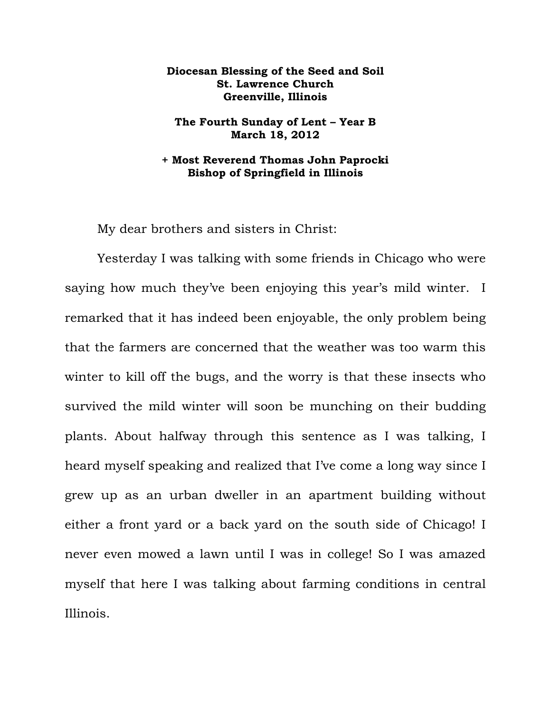## **Diocesan Blessing of the Seed and Soil St. Lawrence Church Greenville, Illinois**

## **The Fourth Sunday of Lent – Year B March 18, 2012**

## **+ Most Reverend Thomas John Paprocki Bishop of Springfield in Illinois**

My dear brothers and sisters in Christ:

Yesterday I was talking with some friends in Chicago who were saying how much they've been enjoying this year's mild winter. I remarked that it has indeed been enjoyable, the only problem being that the farmers are concerned that the weather was too warm this winter to kill off the bugs, and the worry is that these insects who survived the mild winter will soon be munching on their budding plants. About halfway through this sentence as I was talking, I heard myself speaking and realized that I've come a long way since I grew up as an urban dweller in an apartment building without either a front yard or a back yard on the south side of Chicago! I never even mowed a lawn until I was in college! So I was amazed myself that here I was talking about farming conditions in central Illinois.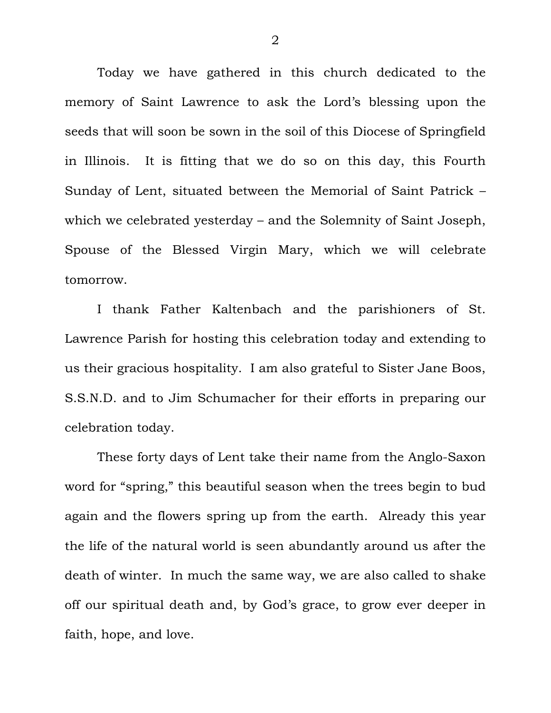Today we have gathered in this church dedicated to the memory of Saint Lawrence to ask the Lord's blessing upon the seeds that will soon be sown in the soil of this Diocese of Springfield in Illinois. It is fitting that we do so on this day, this Fourth Sunday of Lent, situated between the Memorial of Saint Patrick – which we celebrated yesterday – and the Solemnity of Saint Joseph, Spouse of the Blessed Virgin Mary, which we will celebrate tomorrow.

 I thank Father Kaltenbach and the parishioners of St. Lawrence Parish for hosting this celebration today and extending to us their gracious hospitality. I am also grateful to Sister Jane Boos, S.S.N.D. and to Jim Schumacher for their efforts in preparing our celebration today.

 These forty days of Lent take their name from the Anglo-Saxon word for "spring," this beautiful season when the trees begin to bud again and the flowers spring up from the earth. Already this year the life of the natural world is seen abundantly around us after the death of winter. In much the same way, we are also called to shake off our spiritual death and, by God's grace, to grow ever deeper in faith, hope, and love.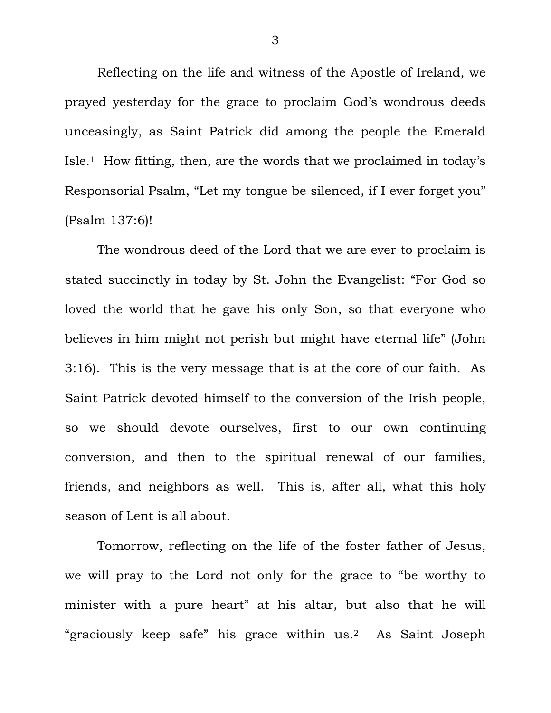Reflecting on the life and witness of the Apostle of Ireland, we prayed yesterday for the grace to proclaim God's wondrous deeds unceasingly, as Saint Patrick did among the people the Emerald Isle.1 How fitting, then, are the words that we proclaimed in today's Responsorial Psalm, "Let my tongue be silenced, if I ever forget you" (Psalm 137:6)!

 The wondrous deed of the Lord that we are ever to proclaim is stated succinctly in today by St. John the Evangelist: "For God so loved the world that he gave his only Son, so that everyone who believes in him might not perish but might have eternal life" (John 3:16). This is the very message that is at the core of our faith. As Saint Patrick devoted himself to the conversion of the Irish people, so we should devote ourselves, first to our own continuing conversion, and then to the spiritual renewal of our families, friends, and neighbors as well. This is, after all, what this holy season of Lent is all about.

 Tomorrow, reflecting on the life of the foster father of Jesus, we will pray to the Lord not only for the grace to "be worthy to minister with a pure heart" at his altar, but also that he will "graciously keep safe" his grace within us.2 As Saint Joseph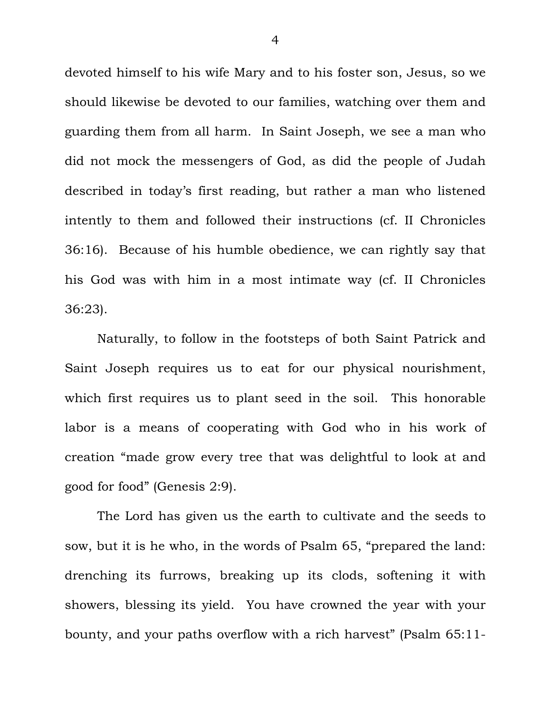devoted himself to his wife Mary and to his foster son, Jesus, so we should likewise be devoted to our families, watching over them and guarding them from all harm. In Saint Joseph, we see a man who did not mock the messengers of God, as did the people of Judah described in today's first reading, but rather a man who listened intently to them and followed their instructions (cf. II Chronicles 36:16). Because of his humble obedience, we can rightly say that his God was with him in a most intimate way (cf. II Chronicles 36:23).

 Naturally, to follow in the footsteps of both Saint Patrick and Saint Joseph requires us to eat for our physical nourishment, which first requires us to plant seed in the soil. This honorable labor is a means of cooperating with God who in his work of creation "made grow every tree that was delightful to look at and good for food" (Genesis 2:9).

 The Lord has given us the earth to cultivate and the seeds to sow, but it is he who, in the words of Psalm 65, "prepared the land: drenching its furrows, breaking up its clods, softening it with showers, blessing its yield. You have crowned the year with your bounty, and your paths overflow with a rich harvest" (Psalm 65:11-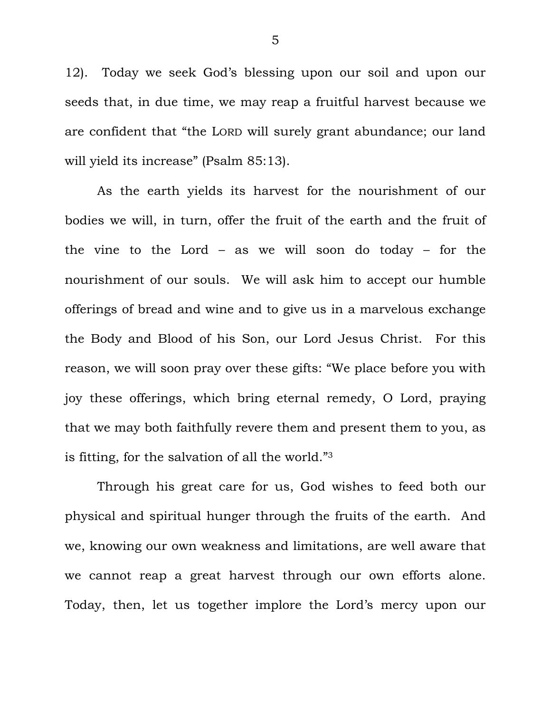12). Today we seek God's blessing upon our soil and upon our seeds that, in due time, we may reap a fruitful harvest because we are confident that "the LORD will surely grant abundance; our land will yield its increase" (Psalm 85:13).

 As the earth yields its harvest for the nourishment of our bodies we will, in turn, offer the fruit of the earth and the fruit of the vine to the Lord – as we will soon do today – for the nourishment of our souls. We will ask him to accept our humble offerings of bread and wine and to give us in a marvelous exchange the Body and Blood of his Son, our Lord Jesus Christ. For this reason, we will soon pray over these gifts: "We place before you with joy these offerings, which bring eternal remedy, O Lord, praying that we may both faithfully revere them and present them to you, as is fitting, for the salvation of all the world."3

 Through his great care for us, God wishes to feed both our physical and spiritual hunger through the fruits of the earth. And we, knowing our own weakness and limitations, are well aware that we cannot reap a great harvest through our own efforts alone. Today, then, let us together implore the Lord's mercy upon our